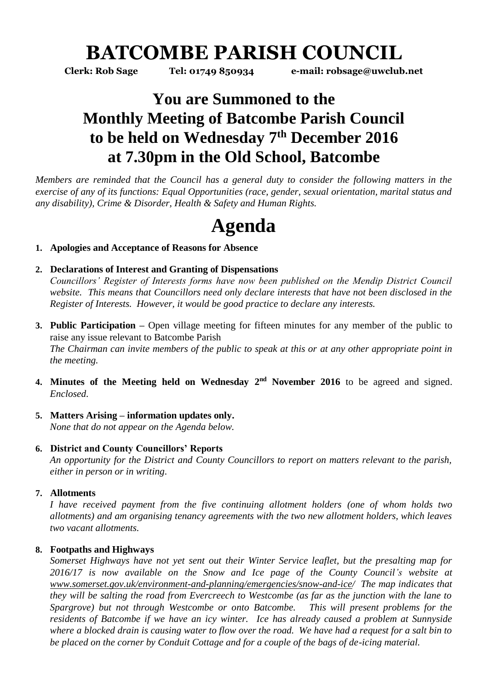# **BATCOMBE PARISH COUNCIL**

**Clerk: Rob Sage Tel: 01749 850934 e-mail: robsage@uwclub.net**

# **You are Summoned to the Monthly Meeting of Batcombe Parish Council to be held on Wednesday 7 th December 2016 at 7.30pm in the Old School, Batcombe**

*Members are reminded that the Council has a general duty to consider the following matters in the exercise of any of its functions: Equal Opportunities (race, gender, sexual orientation, marital status and any disability), Crime & Disorder, Health & Safety and Human Rights.* 

# **Agenda**

# **1. Apologies and Acceptance of Reasons for Absence**

# **2. Declarations of Interest and Granting of Dispensations**

*Councillors' Register of Interests forms have now been published on the Mendip District Council website. This means that Councillors need only declare interests that have not been disclosed in the Register of Interests. However, it would be good practice to declare any interests.*

- **3. Public Participation –** Open village meeting for fifteen minutes for any member of the public to raise any issue relevant to Batcombe Parish *The Chairman can invite members of the public to speak at this or at any other appropriate point in the meeting.*
- 4. Minutes of the Meeting held on Wednesday 2<sup>nd</sup> November 2016 to be agreed and signed. *Enclosed.*
- **5. Matters Arising – information updates only.**  *None that do not appear on the Agenda below.*

# **6. District and County Councillors' Reports**

*An opportunity for the District and County Councillors to report on matters relevant to the parish, either in person or in writing.* 

# **7. Allotments**

*I have received payment from the five continuing allotment holders (one of whom holds two allotments) and am organising tenancy agreements with the two new allotment holders, which leaves two vacant allotments.* 

# **8. Footpaths and Highways**

*Somerset Highways have not yet sent out their Winter Service leaflet, but the presalting map for 2016/17 is now available on the Snow and Ice page of the County Council's website at [www.somerset.gov.uk/environment-and-planning/emergencies/snow-and-ice/](http://www.somerset.gov.uk/environment-and-planning/emergencies/snow-and-ice) The map indicates that they will be salting the road from Evercreech to Westcombe (as far as the junction with the lane to Spargrove) but not through Westcombe or onto Batcombe. This will present problems for the residents of Batcombe if we have an icy winter. Ice has already caused a problem at Sunnyside where a blocked drain is causing water to flow over the road. We have had a request for a salt bin to be placed on the corner by Conduit Cottage and for a couple of the bags of de-icing material.*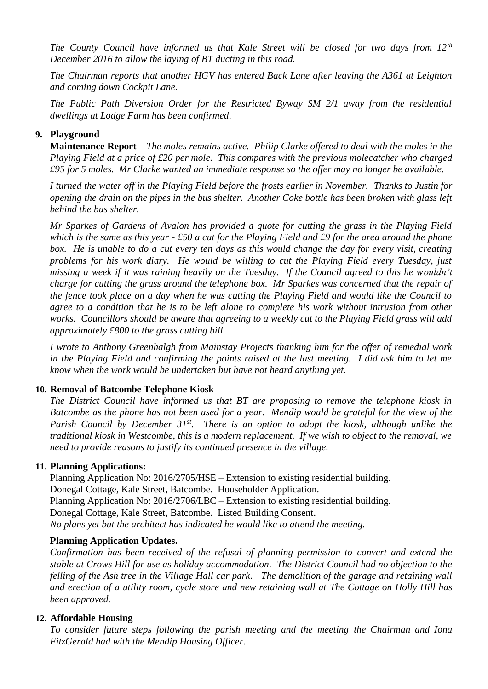*The County Council have informed us that Kale Street will be closed for two days from 12th December 2016 to allow the laying of BT ducting in this road.*

*The Chairman reports that another HGV has entered Back Lane after leaving the A361 at Leighton and coming down Cockpit Lane.* 

*The Public Path Diversion Order for the Restricted Byway SM 2/1 away from the residential dwellings at Lodge Farm has been confirmed.* 

### **9. Playground**

**Maintenance Report –** *The moles remains active. Philip Clarke offered to deal with the moles in the Playing Field at a price of £20 per mole. This compares with the previous molecatcher who charged £95 for 5 moles. Mr Clarke wanted an immediate response so the offer may no longer be available.*

*I turned the water off in the Playing Field before the frosts earlier in November. Thanks to Justin for opening the drain on the pipes in the bus shelter. Another Coke bottle has been broken with glass left behind the bus shelter.* 

*Mr Sparkes of Gardens of Avalon has provided a quote for cutting the grass in the Playing Field which is the same as this year - £50 a cut for the Playing Field and £9 for the area around the phone box. He is unable to do a cut every ten days as this would change the day for every visit, creating problems for his work diary. He would be willing to cut the Playing Field every Tuesday, just missing a week if it was raining heavily on the Tuesday. If the Council agreed to this he wouldn't charge for cutting the grass around the telephone box. Mr Sparkes was concerned that the repair of the fence took place on a day when he was cutting the Playing Field and would like the Council to agree to a condition that he is to be left alone to complete his work without intrusion from other works. Councillors should be aware that agreeing to a weekly cut to the Playing Field grass will add approximately £800 to the grass cutting bill.* 

*I wrote to Anthony Greenhalgh from Mainstay Projects thanking him for the offer of remedial work in the Playing Field and confirming the points raised at the last meeting. I did ask him to let me know when the work would be undertaken but have not heard anything yet.* 

#### **10. Removal of Batcombe Telephone Kiosk**

*The District Council have informed us that BT are proposing to remove the telephone kiosk in Batcombe as the phone has not been used for a year. Mendip would be grateful for the view of the Parish Council by December 31st. There is an option to adopt the kiosk, although unlike the traditional kiosk in Westcombe, this is a modern replacement. If we wish to object to the removal, we need to provide reasons to justify its continued presence in the village.* 

#### **11. Planning Applications:**

Planning Application No: 2016/2705/HSE – Extension to existing residential building. Donegal Cottage, Kale Street, Batcombe. Householder Application. Planning Application No: 2016/2706/LBC – Extension to existing residential building. Donegal Cottage, Kale Street, Batcombe. Listed Building Consent. *No plans yet but the architect has indicated he would like to attend the meeting.* 

#### **Planning Application Updates.**

*Confirmation has been received of the refusal of planning permission to convert and extend the stable at Crows Hill for use as holiday accommodation. The District Council had no objection to the felling of the Ash tree in the Village Hall car park. The demolition of the garage and retaining wall and erection of a utility room, cycle store and new retaining wall at The Cottage on Holly Hill has been approved.*

#### **12. Affordable Housing**

*To consider future steps following the parish meeting and the meeting the Chairman and Iona FitzGerald had with the Mendip Housing Officer.*